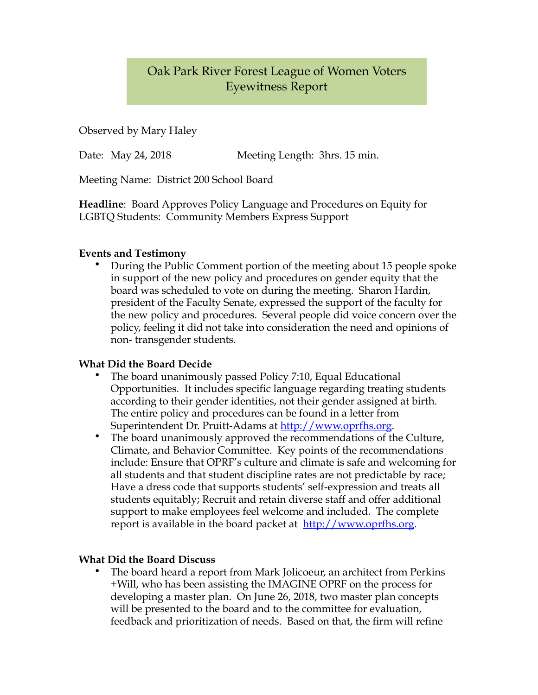## Oak Park River Forest League of Women Voters Eyewitness Report

Observed by Mary Haley

Date: May 24, 2018 Meeting Length: 3hrs. 15 min.

Meeting Name: District 200 School Board

**Headline**: Board Approves Policy Language and Procedures on Equity for LGBTQ Students: Community Members Express Support

## **Events and Testimony**

• During the Public Comment portion of the meeting about 15 people spoke in support of the new policy and procedures on gender equity that the board was scheduled to vote on during the meeting. Sharon Hardin, president of the Faculty Senate, expressed the support of the faculty for the new policy and procedures. Several people did voice concern over the policy, feeling it did not take into consideration the need and opinions of non- transgender students.

## **What Did the Board Decide**

- The board unanimously passed Policy 7:10, Equal Educational Opportunities. It includes specific language regarding treating students according to their gender identities, not their gender assigned at birth. The entire policy and procedures can be found in a letter from Superintendent Dr. Pruitt-Adams at [http://www.oprfhs.org.](http://www.oprfhs.org)
- The board unanimously approved the recommendations of the Culture, Climate, and Behavior Committee. Key points of the recommendations include: Ensure that OPRF's culture and climate is safe and welcoming for all students and that student discipline rates are not predictable by race; Have a dress code that supports students' self-expression and treats all students equitably; Recruit and retain diverse staff and offer additional support to make employees feel welcome and included. The complete report is available in the board packet at [http://www.oprfhs.org.](http://www.oprfhs.org)

## **What Did the Board Discuss**

• The board heard a report from Mark Jolicoeur, an architect from Perkins +Will, who has been assisting the IMAGINE OPRF on the process for developing a master plan. On June 26, 2018, two master plan concepts will be presented to the board and to the committee for evaluation, feedback and prioritization of needs. Based on that, the firm will refine